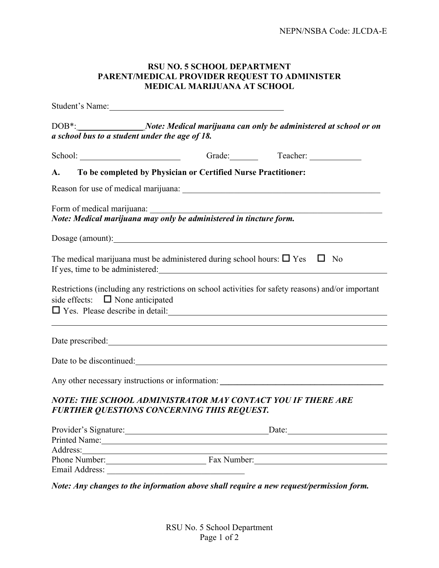## **RSU NO. 5 SCHOOL DEPARTMENT PARENT/MEDICAL PROVIDER REQUEST TO ADMINISTER MEDICAL MARIJUANA AT SCHOOL**

|                                                                                                                                                           | Student's Name:                                                                                                  |                                                                                                    |
|-----------------------------------------------------------------------------------------------------------------------------------------------------------|------------------------------------------------------------------------------------------------------------------|----------------------------------------------------------------------------------------------------|
| DOB <sup>*</sup> :_____________________Note: Medical marijuana can only be administered at school or on<br>a school bus to a student under the age of 18. |                                                                                                                  |                                                                                                    |
|                                                                                                                                                           | School: Grade: Teacher: Teacher:                                                                                 |                                                                                                    |
| <b>A.</b>                                                                                                                                                 | To be completed by Physician or Certified Nurse Practitioner:                                                    |                                                                                                    |
|                                                                                                                                                           |                                                                                                                  |                                                                                                    |
|                                                                                                                                                           | Form of medical marijuana:<br>Note: Medical marijuana may only be administered in tincture form.                 |                                                                                                    |
|                                                                                                                                                           |                                                                                                                  |                                                                                                    |
|                                                                                                                                                           | The medical marijuana must be administered during school hours: $\Box$ Yes $\Box$ No                             |                                                                                                    |
| side effects: $\Box$ None anticipated                                                                                                                     |                                                                                                                  | Restrictions (including any restrictions on school activities for safety reasons) and/or important |
|                                                                                                                                                           | Date prescribed: National Contract of the prescribed:                                                            |                                                                                                    |
|                                                                                                                                                           | Date to be discontinued:                                                                                         |                                                                                                    |
|                                                                                                                                                           |                                                                                                                  | Any other necessary instructions or information: ________________________________                  |
|                                                                                                                                                           | NOTE: THE SCHOOL ADMINISTRATOR MAY CONTACT YOU IF THERE ARE<br><b>FURTHER QUESTIONS CONCERNING THIS REQUEST.</b> |                                                                                                    |
|                                                                                                                                                           |                                                                                                                  | Provider's Signature: Date: Date:                                                                  |
|                                                                                                                                                           | Printed Name: Name: Name and Name and Name and Name and Name and Name and Name and Name and Name and Name and N  |                                                                                                    |
|                                                                                                                                                           |                                                                                                                  |                                                                                                    |
|                                                                                                                                                           | Phone Number: Fax Number:                                                                                        |                                                                                                    |
| Email Address:                                                                                                                                            |                                                                                                                  |                                                                                                    |

*Note: Any changes to the information above shall require a new request/permission form.*